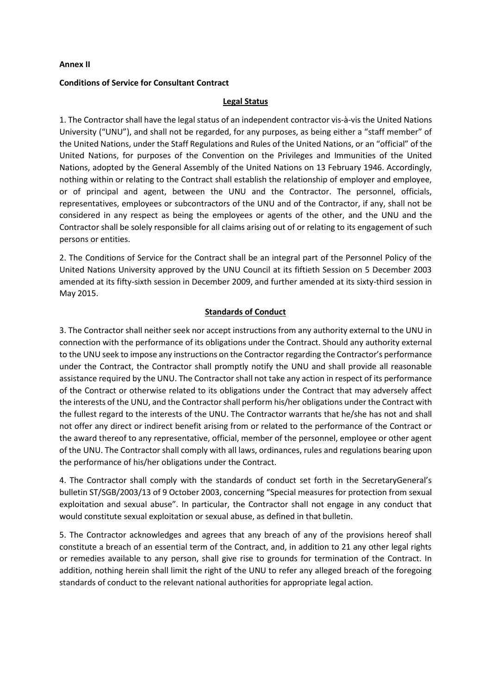### **Annex II**

## **Conditions of Service for Consultant Contract**

## **Legal Status**

1. The Contractor shall have the legal status of an independent contractor vis-à-vis the United Nations University ("UNU"), and shall not be regarded, for any purposes, as being either a "staff member" of the United Nations, under the Staff Regulations and Rules of the United Nations, or an "official" of the United Nations, for purposes of the Convention on the Privileges and Immunities of the United Nations, adopted by the General Assembly of the United Nations on 13 February 1946. Accordingly, nothing within or relating to the Contract shall establish the relationship of employer and employee, or of principal and agent, between the UNU and the Contractor. The personnel, officials, representatives, employees or subcontractors of the UNU and of the Contractor, if any, shall not be considered in any respect as being the employees or agents of the other, and the UNU and the Contractor shall be solely responsible for all claims arising out of or relating to its engagement of such persons or entities.

2. The Conditions of Service for the Contract shall be an integral part of the Personnel Policy of the United Nations University approved by the UNU Council at its fiftieth Session on 5 December 2003 amended at its fifty-sixth session in December 2009, and further amended at its sixty-third session in May 2015.

# **Standards of Conduct**

3. The Contractor shall neither seek nor accept instructions from any authority external to the UNU in connection with the performance of its obligations under the Contract. Should any authority external to the UNU seek to impose any instructions on the Contractor regarding the Contractor's performance under the Contract, the Contractor shall promptly notify the UNU and shall provide all reasonable assistance required by the UNU. The Contractor shall not take any action in respect of its performance of the Contract or otherwise related to its obligations under the Contract that may adversely affect the interests of the UNU, and the Contractorshall perform his/her obligations under the Contract with the fullest regard to the interests of the UNU. The Contractor warrants that he/she has not and shall not offer any direct or indirect benefit arising from or related to the performance of the Contract or the award thereof to any representative, official, member of the personnel, employee or other agent of the UNU. The Contractor shall comply with all laws, ordinances, rules and regulations bearing upon the performance of his/her obligations under the Contract.

4. The Contractor shall comply with the standards of conduct set forth in the SecretaryGeneral's bulletin ST/SGB/2003/13 of 9 October 2003, concerning "Special measures for protection from sexual exploitation and sexual abuse". In particular, the Contractor shall not engage in any conduct that would constitute sexual exploitation or sexual abuse, as defined in that bulletin.

5. The Contractor acknowledges and agrees that any breach of any of the provisions hereof shall constitute a breach of an essential term of the Contract, and, in addition to 21 any other legal rights or remedies available to any person, shall give rise to grounds for termination of the Contract. In addition, nothing herein shall limit the right of the UNU to refer any alleged breach of the foregoing standards of conduct to the relevant national authorities for appropriate legal action.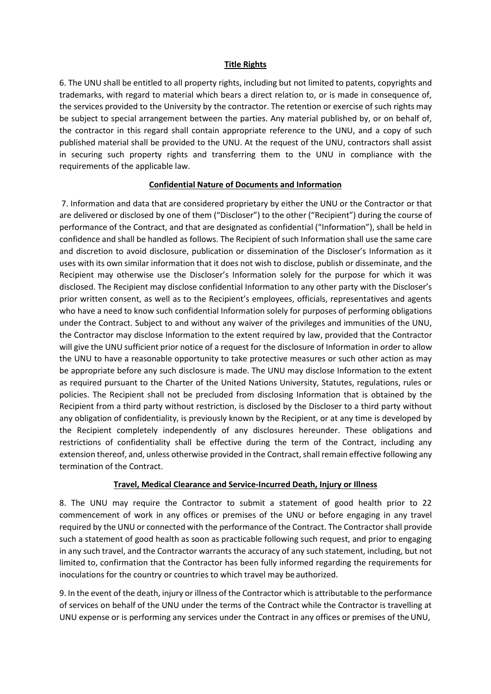## **Title Rights**

6. The UNU shall be entitled to all property rights, including but not limited to patents, copyrights and trademarks, with regard to material which bears a direct relation to, or is made in consequence of, the services provided to the University by the contractor. The retention or exercise of such rights may be subject to special arrangement between the parties. Any material published by, or on behalf of, the contractor in this regard shall contain appropriate reference to the UNU, and a copy of such published material shall be provided to the UNU. At the request of the UNU, contractors shall assist in securing such property rights and transferring them to the UNU in compliance with the requirements of the applicable law.

### **Confidential Nature of Documents and Information**

7. Information and data that are considered proprietary by either the UNU or the Contractor or that are delivered or disclosed by one of them ("Discloser") to the other ("Recipient") during the course of performance of the Contract, and that are designated as confidential ("Information"), shall be held in confidence and shall be handled as follows. The Recipient of such Information shall use the same care and discretion to avoid disclosure, publication or dissemination of the Discloser's Information as it uses with its own similar information that it does not wish to disclose, publish or disseminate, and the Recipient may otherwise use the Discloser's Information solely for the purpose for which it was disclosed. The Recipient may disclose confidential Information to any other party with the Discloser's prior written consent, as well as to the Recipient's employees, officials, representatives and agents who have a need to know such confidential Information solely for purposes of performing obligations under the Contract. Subject to and without any waiver of the privileges and immunities of the UNU, the Contractor may disclose Information to the extent required by law, provided that the Contractor will give the UNU sufficient prior notice of a request for the disclosure of Information in order to allow the UNU to have a reasonable opportunity to take protective measures or such other action as may be appropriate before any such disclosure is made. The UNU may disclose Information to the extent as required pursuant to the Charter of the United Nations University, Statutes, regulations, rules or policies. The Recipient shall not be precluded from disclosing Information that is obtained by the Recipient from a third party without restriction, is disclosed by the Discloser to a third party without any obligation of confidentiality, is previously known by the Recipient, or at any time is developed by the Recipient completely independently of any disclosures hereunder. These obligations and restrictions of confidentiality shall be effective during the term of the Contract, including any extension thereof, and, unless otherwise provided in the Contract, shall remain effective following any termination of the Contract.

### **Travel, Medical Clearance and Service-Incurred Death, Injury or Illness**

8. The UNU may require the Contractor to submit a statement of good health prior to 22 commencement of work in any offices or premises of the UNU or before engaging in any travel required by the UNU or connected with the performance of the Contract. The Contractor shall provide such a statement of good health as soon as practicable following such request, and prior to engaging in any such travel, and the Contractor warrants the accuracy of any such statement, including, but not limited to, confirmation that the Contractor has been fully informed regarding the requirements for inoculations for the country or countries to which travel may be authorized.

9. In the event of the death, injury or illness of the Contractor which is attributable to the performance of services on behalf of the UNU under the terms of the Contract while the Contractor is travelling at UNU expense or is performing any services under the Contract in any offices or premises of theUNU,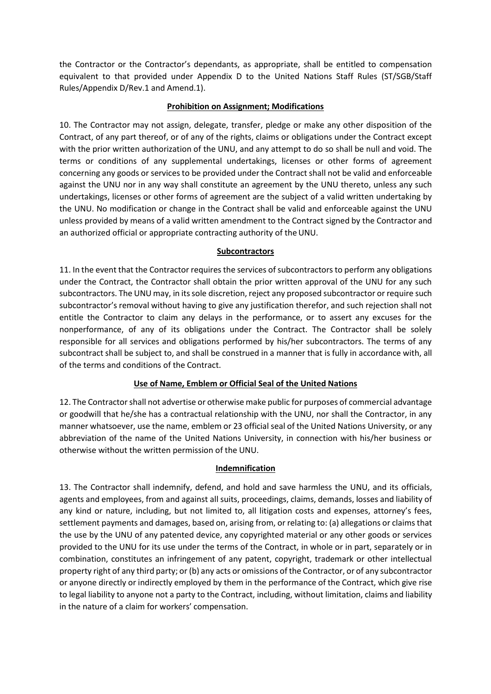the Contractor or the Contractor's dependants, as appropriate, shall be entitled to compensation equivalent to that provided under Appendix D to the United Nations Staff Rules (ST/SGB/Staff Rules/Appendix D/Rev.1 and Amend.1).

# **Prohibition on Assignment; Modifications**

10. The Contractor may not assign, delegate, transfer, pledge or make any other disposition of the Contract, of any part thereof, or of any of the rights, claims or obligations under the Contract except with the prior written authorization of the UNU, and any attempt to do so shall be null and void. The terms or conditions of any supplemental undertakings, licenses or other forms of agreement concerning any goods or services to be provided under the Contract shall not be valid and enforceable against the UNU nor in any way shall constitute an agreement by the UNU thereto, unless any such undertakings, licenses or other forms of agreement are the subject of a valid written undertaking by the UNU. No modification or change in the Contract shall be valid and enforceable against the UNU unless provided by means of a valid written amendment to the Contract signed by the Contractor and an authorized official or appropriate contracting authority of the UNU.

# **Subcontractors**

11. In the event that the Contractor requires the services of subcontractors to perform any obligations under the Contract, the Contractor shall obtain the prior written approval of the UNU for any such subcontractors. The UNU may, in itssole discretion, reject any proposed subcontractor or require such subcontractor's removal without having to give any justification therefor, and such rejection shall not entitle the Contractor to claim any delays in the performance, or to assert any excuses for the nonperformance, of any of its obligations under the Contract. The Contractor shall be solely responsible for all services and obligations performed by his/her subcontractors. The terms of any subcontract shall be subject to, and shall be construed in a manner that is fully in accordance with, all of the terms and conditions of the Contract.

# **Use of Name, Emblem or Official Seal of the United Nations**

12. The Contractorshall not advertise or otherwise make public for purposes of commercial advantage or goodwill that he/she has a contractual relationship with the UNU, nor shall the Contractor, in any manner whatsoever, use the name, emblem or 23 official seal of the United Nations University, or any abbreviation of the name of the United Nations University, in connection with his/her business or otherwise without the written permission of the UNU.

# **Indemnification**

13. The Contractor shall indemnify, defend, and hold and save harmless the UNU, and its officials, agents and employees, from and against all suits, proceedings, claims, demands, losses and liability of any kind or nature, including, but not limited to, all litigation costs and expenses, attorney's fees, settlement payments and damages, based on, arising from, or relating to: (a) allegations or claims that the use by the UNU of any patented device, any copyrighted material or any other goods or services provided to the UNU for its use under the terms of the Contract, in whole or in part, separately or in combination, constitutes an infringement of any patent, copyright, trademark or other intellectual property right of any third party; or (b) any acts or omissions of the Contractor, or of any subcontractor or anyone directly or indirectly employed by them in the performance of the Contract, which give rise to legal liability to anyone not a party to the Contract, including, without limitation, claims and liability in the nature of a claim for workers' compensation.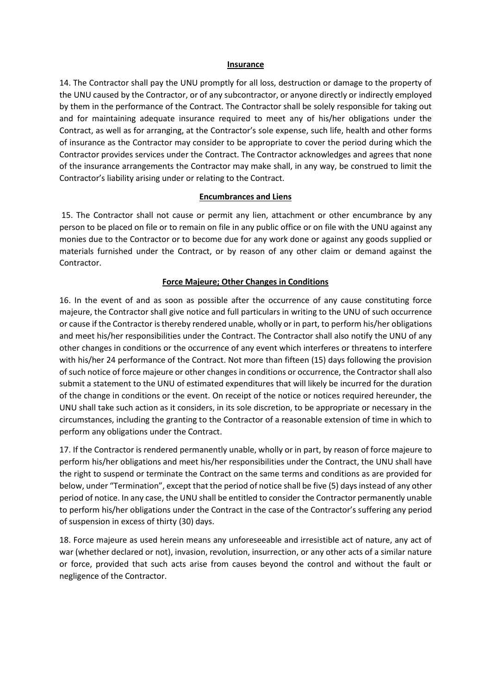#### **Insurance**

14. The Contractor shall pay the UNU promptly for all loss, destruction or damage to the property of the UNU caused by the Contractor, or of any subcontractor, or anyone directly or indirectly employed by them in the performance of the Contract. The Contractor shall be solely responsible for taking out and for maintaining adequate insurance required to meet any of his/her obligations under the Contract, as well as for arranging, at the Contractor's sole expense, such life, health and other forms of insurance as the Contractor may consider to be appropriate to cover the period during which the Contractor provides services under the Contract. The Contractor acknowledges and agrees that none of the insurance arrangements the Contractor may make shall, in any way, be construed to limit the Contractor's liability arising under or relating to the Contract.

### **Encumbrances and Liens**

15. The Contractor shall not cause or permit any lien, attachment or other encumbrance by any person to be placed on file or to remain on file in any public office or on file with the UNU against any monies due to the Contractor or to become due for any work done or against any goods supplied or materials furnished under the Contract, or by reason of any other claim or demand against the Contractor.

### **Force Majeure; Other Changes in Conditions**

16. In the event of and as soon as possible after the occurrence of any cause constituting force majeure, the Contractor shall give notice and full particulars in writing to the UNU of such occurrence or cause if the Contractor isthereby rendered unable, wholly or in part, to perform his/her obligations and meet his/her responsibilities under the Contract. The Contractor shall also notify the UNU of any other changes in conditions or the occurrence of any event which interferes or threatens to interfere with his/her 24 performance of the Contract. Not more than fifteen (15) days following the provision of such notice of force majeure or other changes in conditions or occurrence, the Contractor shall also submit a statement to the UNU of estimated expenditures that will likely be incurred for the duration of the change in conditions or the event. On receipt of the notice or notices required hereunder, the UNU shall take such action as it considers, in its sole discretion, to be appropriate or necessary in the circumstances, including the granting to the Contractor of a reasonable extension of time in which to perform any obligations under the Contract.

17. If the Contractor is rendered permanently unable, wholly or in part, by reason of force majeure to perform his/her obligations and meet his/her responsibilities under the Contract, the UNU shall have the right to suspend or terminate the Contract on the same terms and conditions as are provided for below, under "Termination", except that the period of notice shall be five (5) daysinstead of any other period of notice. In any case, the UNU shall be entitled to consider the Contractor permanently unable to perform his/her obligations under the Contract in the case of the Contractor's suffering any period of suspension in excess of thirty (30) days.

18. Force majeure as used herein means any unforeseeable and irresistible act of nature, any act of war (whether declared or not), invasion, revolution, insurrection, or any other acts of a similar nature or force, provided that such acts arise from causes beyond the control and without the fault or negligence of the Contractor.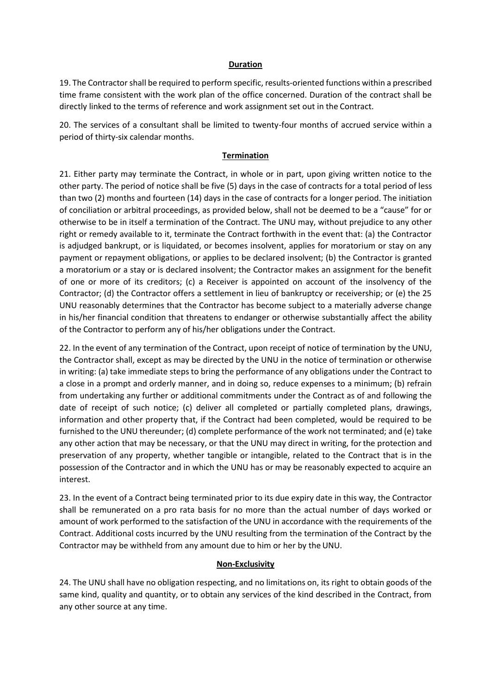### **Duration**

19. The Contractorshall be required to perform specific, results-oriented functions within a prescribed time frame consistent with the work plan of the office concerned. Duration of the contract shall be directly linked to the terms of reference and work assignment set out in the Contract.

20. The services of a consultant shall be limited to twenty-four months of accrued service within a period of thirty-six calendar months.

# **Termination**

21. Either party may terminate the Contract, in whole or in part, upon giving written notice to the other party. The period of notice shall be five (5) days in the case of contracts for a total period of less than two (2) months and fourteen (14) days in the case of contracts for a longer period. The initiation of conciliation or arbitral proceedings, as provided below, shall not be deemed to be a "cause" for or otherwise to be in itself a termination of the Contract. The UNU may, without prejudice to any other right or remedy available to it, terminate the Contract forthwith in the event that: (a) the Contractor is adjudged bankrupt, or is liquidated, or becomes insolvent, applies for moratorium or stay on any payment or repayment obligations, or applies to be declared insolvent; (b) the Contractor is granted a moratorium or a stay or is declared insolvent; the Contractor makes an assignment for the benefit of one or more of its creditors; (c) a Receiver is appointed on account of the insolvency of the Contractor; (d) the Contractor offers a settlement in lieu of bankruptcy or receivership; or (e) the 25 UNU reasonably determines that the Contractor has become subject to a materially adverse change in his/her financial condition that threatens to endanger or otherwise substantially affect the ability of the Contractor to perform any of his/her obligations under the Contract.

22. In the event of any termination of the Contract, upon receipt of notice of termination by the UNU, the Contractor shall, except as may be directed by the UNU in the notice of termination or otherwise in writing: (a) take immediate steps to bring the performance of any obligations under the Contract to a close in a prompt and orderly manner, and in doing so, reduce expenses to a minimum; (b) refrain from undertaking any further or additional commitments under the Contract as of and following the date of receipt of such notice; (c) deliver all completed or partially completed plans, drawings, information and other property that, if the Contract had been completed, would be required to be furnished to the UNU thereunder; (d) complete performance of the work not terminated; and (e) take any other action that may be necessary, or that the UNU may direct in writing, forthe protection and preservation of any property, whether tangible or intangible, related to the Contract that is in the possession of the Contractor and in which the UNU has or may be reasonably expected to acquire an interest.

23. In the event of a Contract being terminated prior to its due expiry date in this way, the Contractor shall be remunerated on a pro rata basis for no more than the actual number of days worked or amount of work performed to the satisfaction of the UNU in accordance with the requirements of the Contract. Additional costs incurred by the UNU resulting from the termination of the Contract by the Contractor may be withheld from any amount due to him or her by the UNU.

### **Non-Exclusivity**

24. The UNU shall have no obligation respecting, and no limitations on, its right to obtain goods of the same kind, quality and quantity, or to obtain any services of the kind described in the Contract, from any other source at any time.